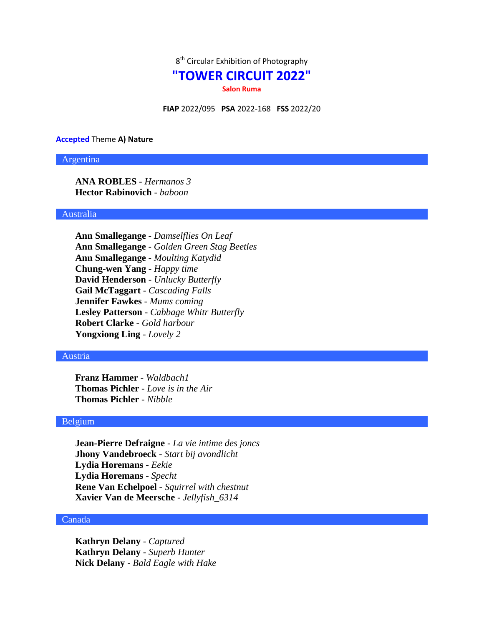

# **"TOWER CIRCUIT 2022"**

**Salon Ruma**

**FIAP** 2022/095 **PSA** 2022-168 **FSS** 2022/20

#### **Accepted** Theme **A) Nature**

### Argentina

**ANA ROBLES** - *Hermanos 3* **Hector Rabinovich** - *baboon*

## Australia

**Ann Smallegange** - *Damselflies On Leaf* **Ann Smallegange** - *Golden Green Stag Beetles* **Ann Smallegange** - *Moulting Katydid* **Chung-wen Yang** - *Happy time* **David Henderson** - *Unlucky Butterfly* **Gail McTaggart** - *Cascading Falls* **Jennifer Fawkes** - *Mums coming* **Lesley Patterson** - *Cabbage Whitr Butterfly* **Robert Clarke** - *Gold harbour* **Yongxiong Ling** - *Lovely 2*

# Austria

**Franz Hammer** - *Waldbach1* **Thomas Pichler** - *Love is in the Air* **Thomas Pichler** - *Nibble*

# Belgium

**Jean-Pierre Defraigne** - *La vie intime des joncs* **Jhony Vandebroeck** - *Start bij avondlicht* **Lydia Horemans** - *Eekie* **Lydia Horemans** - *Specht* **Rene Van Echelpoel** - *Squirrel with chestnut* **Xavier Van de Meersche** - *Jellyfish\_6314*

### Canada

**Kathryn Delany** - *Captured* **Kathryn Delany** - *Superb Hunter* **Nick Delany** - *Bald Eagle with Hake*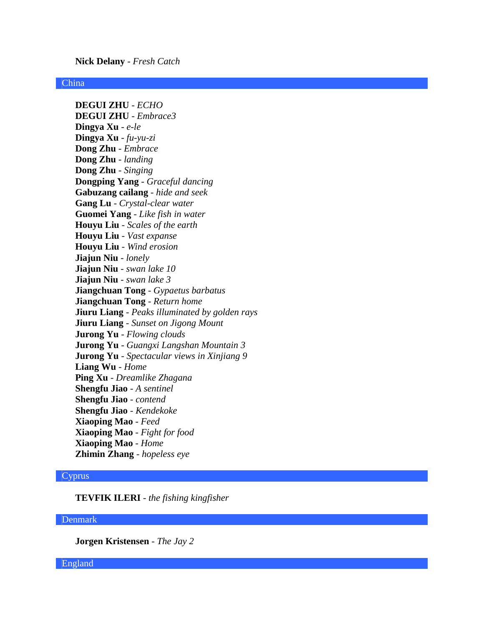**Nick Delany** - *Fresh Catch*

#### China

**DEGUI ZHU** - *ECHO* **DEGUI ZHU** - *Embrace3* **Dingya Xu** - *e-le* **Dingya Xu** - *fu-yu-zi* **Dong Zhu** - *Embrace* **Dong Zhu** - *landing* **Dong Zhu** - *Singing* **Dongping Yang** - *Graceful dancing* **Gabuzang cailang** - *hide and seek* **Gang Lu** - *Crystal-clear water* **Guomei Yang** - *Like fish in water* **Houyu Liu** - *Scales of the earth* **Houyu Liu** - *Vast expanse* **Houyu Liu** - *Wind erosion* **Jiajun Niu** - *lonely* **Jiajun Niu** - *swan lake 10* **Jiajun Niu** - *swan lake 3* **Jiangchuan Tong** - *Gypaetus barbatus* **Jiangchuan Tong** - *Return home* **Jiuru Liang** - *Peaks illuminated by golden rays* **Jiuru Liang** - *Sunset on Jigong Mount* **Jurong Yu** - *Flowing clouds* **Jurong Yu** - *Guangxi Langshan Mountain 3* **Jurong Yu** - *Spectacular views in Xinjiang 9* **Liang Wu** - *Home* **Ping Xu** - *Dreamlike Zhagana* **Shengfu Jiao** - *A sentinel* **Shengfu Jiao** - *contend* **Shengfu Jiao** - *Kendekoke* **Xiaoping Mao** - *Feed* **Xiaoping Mao** - *Fight for food* **Xiaoping Mao** - *Home* **Zhimin Zhang** - *hopeless eye*

### Cyprus

**TEVFIK ILERI** - *the fishing kingfisher*

### Denmark

**Jorgen Kristensen** - *The Jay 2*

England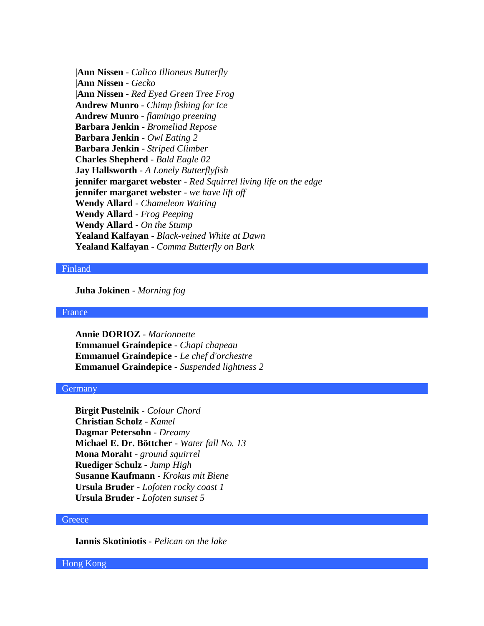**|Ann Nissen** - *Calico Illioneus Butterfly* **|Ann Nissen** - *Gecko* **|Ann Nissen** - *Red Eyed Green Tree Frog* **Andrew Munro** - *Chimp fishing for Ice* **Andrew Munro** - *flamingo preening* **Barbara Jenkin** - *Bromeliad Repose* **Barbara Jenkin** - *Owl Eating 2* **Barbara Jenkin** - *Striped Climber* **Charles Shepherd** - *Bald Eagle 02* **Jay Hallsworth** - *A Lonely Butterflyfish* **jennifer margaret webster** - *Red Squirrel living life on the edge* **jennifer margaret webster** - *we have lift off* **Wendy Allard** - *Chameleon Waiting* **Wendy Allard** - *Frog Peeping* **Wendy Allard** - *On the Stump* **Yealand Kalfayan** - *Black-veined White at Dawn* **Yealand Kalfayan** - *Comma Butterfly on Bark*

#### Finland

**Juha Jokinen** - *Morning fog*

France

**Annie DORIOZ** - *Marionnette* **Emmanuel Graindepice** - *Chapi chapeau* **Emmanuel Graindepice** - *Le chef d'orchestre* **Emmanuel Graindepice** - *Suspended lightness 2*

### **Germany**

**Birgit Pustelnik** - *Colour Chord* **Christian Scholz** - *Kamel* **Dagmar Petersohn** - *Dreamy* **Michael E. Dr. Böttcher** - *Water fall No. 13* **Mona Moraht** - *ground squirrel* **Ruediger Schulz** - *Jump High* **Susanne Kaufmann** - *Krokus mit Biene* **Ursula Bruder** - *Lofoten rocky coast 1* **Ursula Bruder** - *Lofoten sunset 5*

### **Greece**

**Iannis Skotiniotis** - *Pelican on the lake*

Hong Kong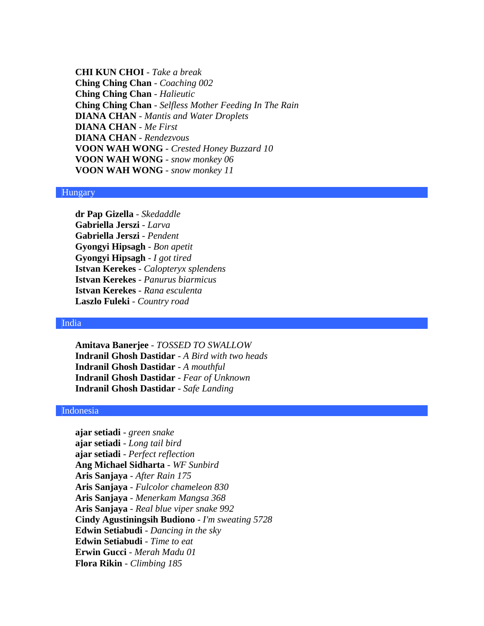**CHI KUN CHOI** - *Take a break* **Ching Ching Chan** - *Coaching 002* **Ching Ching Chan** - *Halieutic* **Ching Ching Chan** - *Selfless Mother Feeding In The Rain* **DIANA CHAN** - *Mantis and Water Droplets* **DIANA CHAN** - *Me First* **DIANA CHAN** - *Rendezvous* **VOON WAH WONG** - *Crested Honey Buzzard 10* **VOON WAH WONG** - *snow monkey 06* **VOON WAH WONG** - *snow monkey 11*

# Hungary

**dr Pap Gizella** - *Skedaddle* **Gabriella Jerszi** - *Larva* **Gabriella Jerszi** - *Pendent* **Gyongyi Hipsagh** - *Bon apetit* **Gyongyi Hipsagh** - *I got tired* **Istvan Kerekes** - *Calopteryx splendens* **Istvan Kerekes** - *Panurus biarmicus* **Istvan Kerekes** - *Rana esculenta* **Laszlo Fuleki** - *Country road*

#### India

**Amitava Banerjee** - *TOSSED TO SWALLOW* **Indranil Ghosh Dastidar** - *A Bird with two heads* **Indranil Ghosh Dastidar** - *A mouthful* **Indranil Ghosh Dastidar** - *Fear of Unknown* **Indranil Ghosh Dastidar** - *Safe Landing*

#### Indonesia

**ajar setiadi** - *green snake* **ajar setiadi** - *Long tail bird* **ajar setiadi** - *Perfect reflection* **Ang Michael Sidharta** - *WF Sunbird* **Aris Sanjaya** - *After Rain 175* **Aris Sanjaya** - *Fulcolor chameleon 830* **Aris Sanjaya** - *Menerkam Mangsa 368* **Aris Sanjaya** - *Real blue viper snake 992* **Cindy Agustiningsih Budiono** - *I'm sweating 5728* **Edwin Setiabudi** - *Dancing in the sky* **Edwin Setiabudi** - *Time to eat* **Erwin Gucci** - *Merah Madu 01* **Flora Rikin** - *Climbing 185*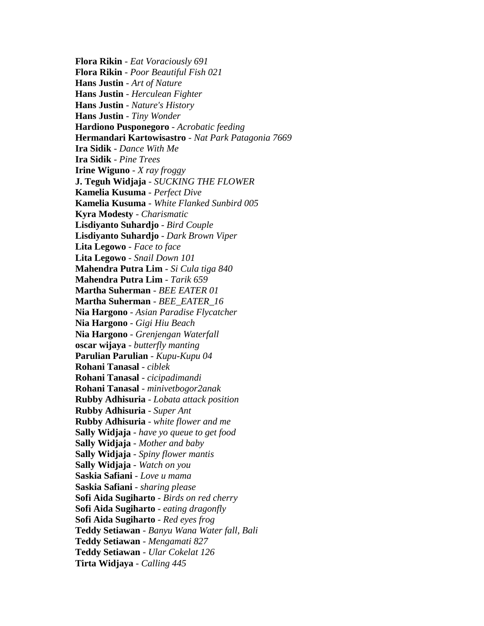**Flora Rikin** - *Eat Voraciously 691* **Flora Rikin** - *Poor Beautiful Fish 021* **Hans Justin** - *Art of Nature* **Hans Justin** - *Herculean Fighter* **Hans Justin** - *Nature's History* **Hans Justin** - *Tiny Wonder* **Hardiono Pusponegoro** - *Acrobatic feeding* **Hermandari Kartowisastro** - *Nat Park Patagonia 7669* **Ira Sidik** - *Dance With Me* **Ira Sidik** - *Pine Trees* **Irine Wiguno** - *X ray froggy* **J. Teguh Widjaja** - *SUCKING THE FLOWER* **Kamelia Kusuma** - *Perfect Dive* **Kamelia Kusuma** - *White Flanked Sunbird 005* **Kyra Modesty** - *Charismatic* **Lisdiyanto Suhardjo** - *Bird Couple* **Lisdiyanto Suhardjo** - *Dark Brown Viper* **Lita Legowo** - *Face to face* **Lita Legowo** - *Snail Down 101* **Mahendra Putra Lim** - *Si Cula tiga 840* **Mahendra Putra Lim** - *Tarik 659* **Martha Suherman** - *BEE EATER 01* **Martha Suherman** - *BEE\_EATER\_16* **Nia Hargono** - *Asian Paradise Flycatcher* **Nia Hargono** - *Gigi Hiu Beach* **Nia Hargono** - *Grenjengan Waterfall* **oscar wijaya** - *butterfly manting* **Parulian Parulian** - *Kupu-Kupu 04* **Rohani Tanasal** - *ciblek* **Rohani Tanasal** - *cicipadimandi* **Rohani Tanasal** - *minivetbogor2anak* **Rubby Adhisuria** - *Lobata attack position* **Rubby Adhisuria** - *Super Ant* **Rubby Adhisuria** - *white flower and me* **Sally Widjaja** - *have yo queue to get food* **Sally Widjaja** - *Mother and baby* **Sally Widjaja** - *Spiny flower mantis* **Sally Widjaja** - *Watch on you* **Saskia Safiani** - *Love u mama* **Saskia Safiani** - *sharing please* **Sofi Aida Sugiharto** - *Birds on red cherry* **Sofi Aida Sugiharto** - *eating dragonfly* **Sofi Aida Sugiharto** - *Red eyes frog* **Teddy Setiawan** - *Banyu Wana Water fall, Bali* **Teddy Setiawan** - *Mengamati 827* **Teddy Setiawan** - *Ular Cokelat 126* **Tirta Widjaya** - *Calling 445*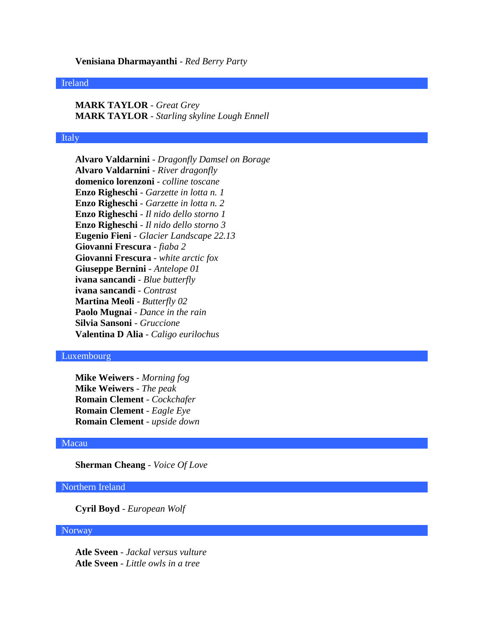# **Venisiana Dharmayanthi** - *Red Berry Party*

#### Ireland

**MARK TAYLOR** - *Great Grey* **MARK TAYLOR** - *Starling skyline Lough Ennell*

### Italy

**Alvaro Valdarnini** - *Dragonfly Damsel on Borage* **Alvaro Valdarnini** - *River dragonfly* **domenico lorenzoni** - *colline toscane* **Enzo Righeschi** - *Garzette in lotta n. 1* **Enzo Righeschi** - *Garzette in lotta n. 2* **Enzo Righeschi** - *Il nido dello storno 1* **Enzo Righeschi** - *Il nido dello storno 3* **Eugenio Fieni** - *Glacier Landscape 22.13* **Giovanni Frescura** - *fiaba 2* **Giovanni Frescura** - *white arctic fox* **Giuseppe Bernini** - *Antelope 01* **ivana sancandi** - *Blue butterfly* **ivana sancandi** - *Contrast* **Martina Meoli** - *Butterfly 02* **Paolo Mugnai** - *Dance in the rain* **Silvia Sansoni** - *Gruccione* **Valentina D Alia** - *Caligo eurilochus*

# Luxembourg

**Mike Weiwers** - *Morning fog* **Mike Weiwers** - *The peak* **Romain Clement** - *Cockchafer* **Romain Clement** - *Eagle Eye* **Romain Clement** - *upside down*

# Macau

**Sherman Cheang** - *Voice Of Love*

# Northern Ireland

**Cyril Boyd** - *European Wolf*

### Norway

**Atle Sveen** - *Jackal versus vulture* **Atle Sveen** - *Little owls in a tree*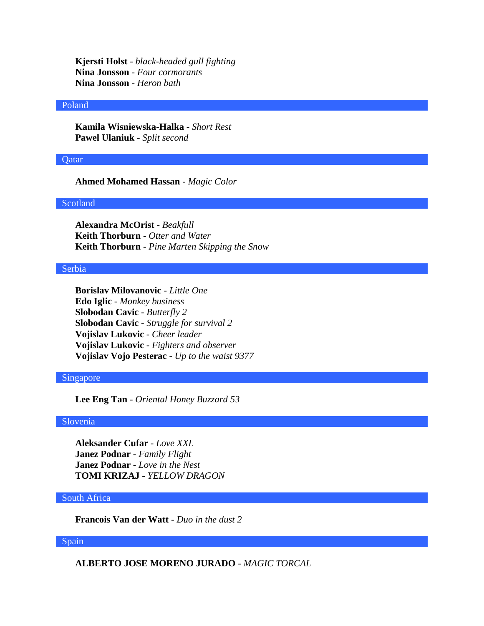**Kjersti Holst** - *black-headed gull fighting* **Nina Jonsson** - *Four cormorants* **Nina Jonsson** - *Heron bath*

### Poland

**Kamila Wisniewska-Halka** - *Short Rest* **Pawel Ulaniuk** - *Split second*

#### **O**atar

**Ahmed Mohamed Hassan** - *Magic Color*

# Scotland

**Alexandra McOrist** - *Beakfull* **Keith Thorburn** - *Otter and Water* **Keith Thorburn** - *Pine Marten Skipping the Snow*

#### Serbia

**Borislav Milovanovic** - *Little One* **Edo Iglic** - *Monkey business* **Slobodan Cavic** - *Butterfly 2* **Slobodan Cavic** - *Struggle for survival 2* **Vojislav Lukovic** - *Cheer leader* **Vojislav Lukovic** - *Fighters and observer* **Vojislav Vojo Pesterac** - *Up to the waist 9377*

### Singapore

**Lee Eng Tan** - *Oriental Honey Buzzard 53*

### Slovenia

**Aleksander Cufar** - *Love XXL* **Janez Podnar** - *Family Flight* **Janez Podnar** - *Love in the Nest* **TOMI KRIZAJ** - *YELLOW DRAGON*

# South Africa

**Francois Van der Watt** - *Duo in the dust 2*

#### Spain

**ALBERTO JOSE MORENO JURADO** - *MAGIC TORCAL*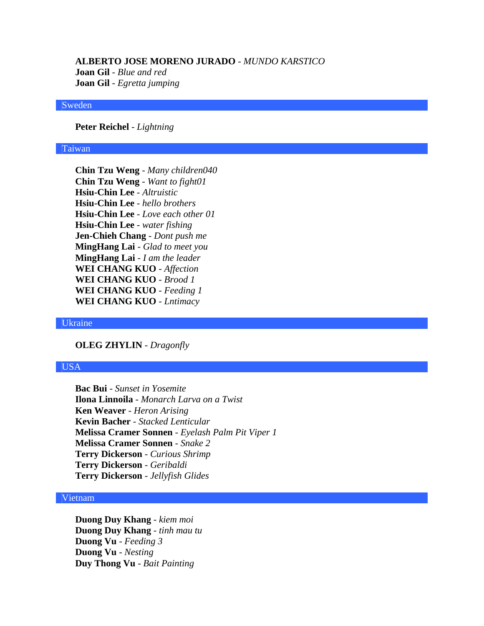# **ALBERTO JOSE MORENO JURADO** - *MUNDO KARSTICO*

**Joan Gil** - *Blue and red* **Joan Gil** - *Egretta jumping*

# Sweden

**Peter Reichel** - *Lightning*

#### Taiwan

**Chin Tzu Weng** - *Many children040* **Chin Tzu Weng** - *Want to fight01* **Hsiu-Chin Lee** - *Altruistic* **Hsiu-Chin Lee** - *hello brothers* **Hsiu-Chin Lee** - *Love each other 01* **Hsiu-Chin Lee** - *water fishing* **Jen-Chieh Chang** - *Dont push me* **MingHang Lai** - *Glad to meet you* **MingHang Lai** - *I am the leader* **WEI CHANG KUO** - *Affection* **WEI CHANG KUO** - *Brood 1* **WEI CHANG KUO** - *Feeding 1* **WEI CHANG KUO** - *Lntimacy*

#### Ukraine

**OLEG ZHYLIN** - *Dragonfly*

# USA

**Bac Bui** - *Sunset in Yosemite* **Ilona Linnoila** - *Monarch Larva on a Twist* **Ken Weaver** - *Heron Arising* **Kevin Bacher** - *Stacked Lenticular* **Melissa Cramer Sonnen** - *Eyelash Palm Pit Viper 1* **Melissa Cramer Sonnen** - *Snake 2* **Terry Dickerson** - *Curious Shrimp* **Terry Dickerson** - *Geribaldi* **Terry Dickerson** - *Jellyfish Glides*

# Vietnam

**Duong Duy Khang** - *kiem moi* **Duong Duy Khang** - *tinh mau tu* **Duong Vu** - *Feeding 3* **Duong Vu** - *Nesting* **Duy Thong Vu** - *Bait Painting*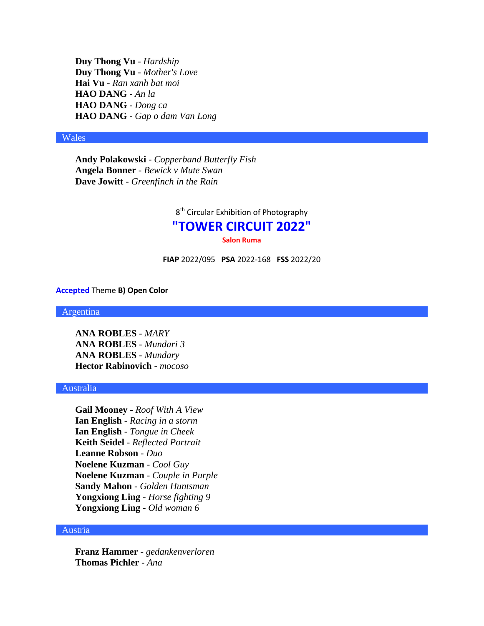**Duy Thong Vu** - *Hardship* **Duy Thong Vu** - *Mother's Love* **Hai Vu** - *Ran xanh bat moi* **HAO DANG** - *An la* **HAO DANG** - *Dong ca* **HAO DANG** - *Gap o dam Van Long*

### Wales

**Andy Polakowski** - *Copperband Butterfly Fish* **Angela Bonner** - *Bewick v Mute Swan* **Dave Jowitt** - *Greenfinch in the Rain*

 $8<sup>th</sup>$  Circular Exhibition of Photography

# **"TOWER CIRCUIT 2022"**

**Salon Ruma**

**FIAP** 2022/095 **PSA** 2022-168 **FSS** 2022/20

### **Accepted** Theme **B) Open Color**

Argentina

**ANA ROBLES** - *MARY* **ANA ROBLES** - *Mundari 3* **ANA ROBLES** - *Mundary* **Hector Rabinovich** - *mocoso*

### Australia

**Gail Mooney** - *Roof With A View* **Ian English** - *Racing in a storm* **Ian English** - *Tongue in Cheek* **Keith Seidel** - *Reflected Portrait* **Leanne Robson** - *Duo* **Noelene Kuzman** - *Cool Guy* **Noelene Kuzman** - *Couple in Purple* **Sandy Mahon** - *Golden Huntsman* **Yongxiong Ling** - *Horse fighting 9* **Yongxiong Ling** - *Old woman 6*

# Austria

**Franz Hammer** - *gedankenverloren* **Thomas Pichler** - *Ana*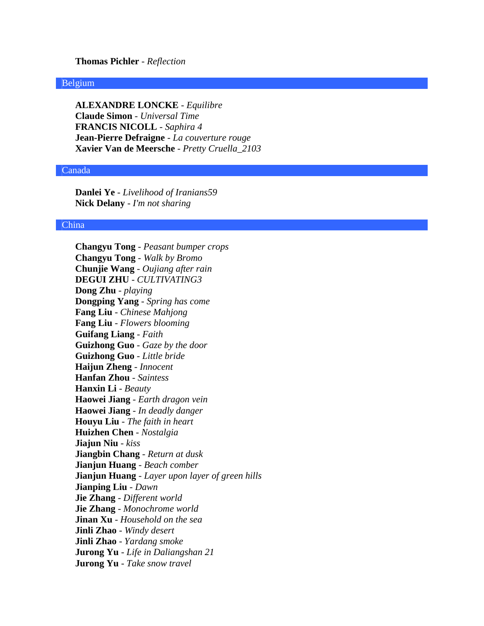### **Thomas Pichler** - *Reflection*

### Belgium

**ALEXANDRE LONCKE** - *Equilibre* **Claude Simon** - *Universal Time* **FRANCIS NICOLL** - *Saphira 4* **Jean-Pierre Defraigne** - *La couverture rouge* **Xavier Van de Meersche** - *Pretty Cruella\_2103*

# Canada

**Danlei Ye** - *Livelihood of Iranians59* **Nick Delany** - *I'm not sharing*

#### China

**Changyu Tong** - *Peasant bumper crops* **Changyu Tong** - *Walk by Bromo* **Chunjie Wang** - *Oujiang after rain* **DEGUI ZHU** - *CULTIVATING3* **Dong Zhu** - *playing* **Dongping Yang** - *Spring has come* **Fang Liu** - *Chinese Mahjong* **Fang Liu** - *Flowers blooming* **Guifang Liang** - *Faith* **Guizhong Guo** - *Gaze by the door* **Guizhong Guo** - *Little bride* **Haijun Zheng** - *Innocent* **Hanfan Zhou** - *Saintess* **Hanxin Li** - *Beauty* **Haowei Jiang** - *Earth dragon vein* **Haowei Jiang** - *In deadly danger* **Houyu Liu** - *The faith in heart* **Huizhen Chen** - *Nostalgia* **Jiajun Niu** - *kiss* **Jiangbin Chang** - *Return at dusk* **Jianjun Huang** - *Beach comber* **Jianjun Huang** - *Layer upon layer of green hills* **Jianping Liu** - *Dawn* **Jie Zhang** - *Different world* **Jie Zhang** - *Monochrome world* **Jinan Xu** - *Household on the sea* **Jinli Zhao** - *Windy desert* **Jinli Zhao** - *Yardang smoke* **Jurong Yu** - *Life in Daliangshan 21* **Jurong Yu** - *Take snow travel*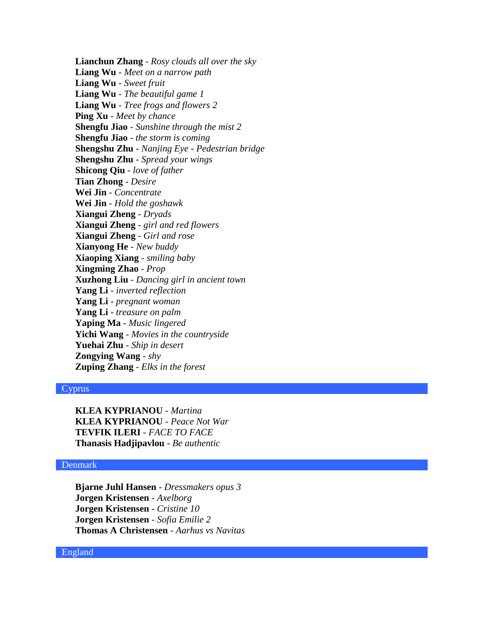**Lianchun Zhang** - *Rosy clouds all over the sky* **Liang Wu** - *Meet on a narrow path* **Liang Wu** - *Sweet fruit* **Liang Wu** - *The beautiful game 1* **Liang Wu** - *Tree frogs and flowers 2* **Ping Xu** - *Meet by chance* **Shengfu Jiao** - *Sunshine through the mist 2* **Shengfu Jiao** - *the storm is coming* **Shengshu Zhu** - *Nanjing Eye - Pedestrian bridge* **Shengshu Zhu** - *Spread your wings* **Shicong Qiu** - *love of father* **Tian Zhong** - *Desire* **Wei Jin** - *Concentrate* **Wei Jin** - *Hold the goshawk* **Xiangui Zheng** - *Dryads* **Xiangui Zheng** - *girl and red flowers* **Xiangui Zheng** - *Girl and rose* **Xianyong He** - *New buddy* **Xiaoping Xiang** - *smiling baby* **Xingming Zhao** - *Prop* **Xuzhong Liu** - *Dancing girl in ancient town* **Yang Li** - *inverted reflection* **Yang Li** - *pregnant woman* **Yang Li** - *treasure on palm* **Yaping Ma** - *Music lingered* **Yichi Wang** - *Movies in the countryside* **Yuehai Zhu** - *Ship in desert* **Zongying Wang** - *shy* **Zuping Zhang** - *Elks in the forest*

# Cyprus

**KLEA KYPRIANOU** - *Martina* **KLEA KYPRIANOU** - *Peace Not War* **TEVFIK ILERI** - *FACE TO FACE* **Thanasis Hadjipavlou** - *Be authentic*

# Denmark

**Bjarne Juhl Hansen** - *Dressmakers opus 3* **Jorgen Kristensen** - *Axelborg* **Jorgen Kristensen** - *Cristine 10* **Jorgen Kristensen** - *Sofia Emilie 2* **Thomas A Christensen** - *Aarhus vs Navitas*

# England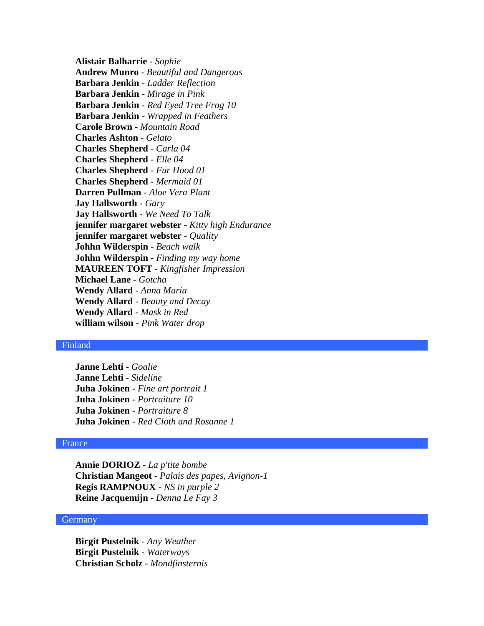**Alistair Balharrie** - *Sophie* **Andrew Munro** - *Beautiful and Dangerous* **Barbara Jenkin** - *Ladder Reflection* **Barbara Jenkin** - *Mirage in Pink* **Barbara Jenkin** - *Red Eyed Tree Frog 10* **Barbara Jenkin** - *Wrapped in Feathers* **Carole Brown** - *Mountain Road* **Charles Ashton** - *Gelato* **Charles Shepherd** - *Carla 04* **Charles Shepherd** - *Elle 04* **Charles Shepherd** - *Fur Hood 01* **Charles Shepherd** - *Mermaid 01* **Darren Pullman** - *Aloe Vera Plant* **Jay Hallsworth** - *Gary* **Jay Hallsworth** - *We Need To Talk* **jennifer margaret webster** - *Kitty high Endurance* **jennifer margaret webster** - *Quality* **Johhn Wilderspin** - *Beach walk* **Johhn Wilderspin** - *Finding my way home* **MAUREEN TOFT** - *Kingfisher Impression* **Michael Lane** - *Gotcha* **Wendy Allard** - *Anna Maria* **Wendy Allard** - *Beauty and Decay* **Wendy Allard** - *Mask in Red* **william wilson** - *Pink Water drop*

# Finland

**Janne Lehti** - *Goalie* **Janne Lehti** - *Sideline* **Juha Jokinen** - *Fine art portrait 1* **Juha Jokinen** - *Portraiture 10* **Juha Jokinen** - *Portraiture 8* **Juha Jokinen** - *Red Cloth and Rosanne 1*

## France

**Annie DORIOZ** - *La p'tite bombe* **Christian Mangeot** - *Palais des papes, Avignon-1* **Regis RAMPNOUX** - *NS in purple 2* **Reine Jacquemijn** - *Denna Le Fay 3*

#### Germany

**Birgit Pustelnik** - *Any Weather* **Birgit Pustelnik** - *Waterways* **Christian Scholz** - *Mondfinsternis*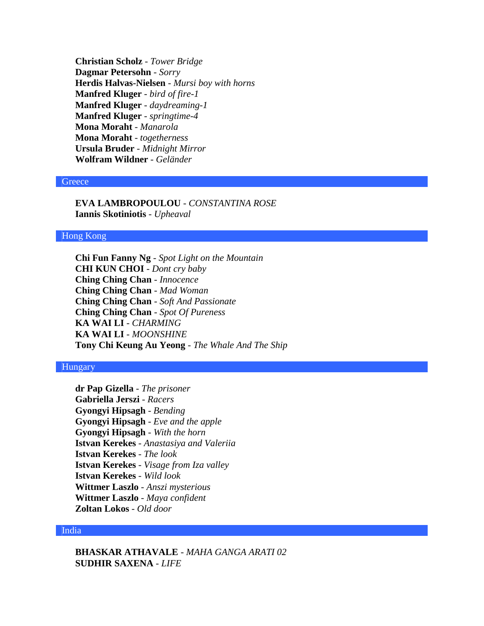**Christian Scholz** - *Tower Bridge* **Dagmar Petersohn** - *Sorry* **Herdis Halvas-Nielsen** - *Mursi boy with horns* **Manfred Kluger** - *bird of fire-1* **Manfred Kluger** - *daydreaming-1* **Manfred Kluger** - *springtime-4* **Mona Moraht** - *Manarola* **Mona Moraht** - *togetherness* **Ursula Bruder** - *Midnight Mirror* **Wolfram Wildner** - *Geländer*

#### **Greece**

**EVA LAMBROPOULOU** - *CONSTANTINA ROSE* **Iannis Skotiniotis** - *Upheaval*

# Hong Kong

**Chi Fun Fanny Ng** - *Spot Light on the Mountain* **CHI KUN CHOI** - *Dont cry baby* **Ching Ching Chan** - *Innocence* **Ching Ching Chan** - *Mad Woman* **Ching Ching Chan** - *Soft And Passionate* **Ching Ching Chan** - *Spot Of Pureness* **KA WAI LI** - *CHARMING* **KA WAI LI** - *MOONSHINE* **Tony Chi Keung Au Yeong** - *The Whale And The Ship*

### Hungary

**dr Pap Gizella** - *The prisoner* **Gabriella Jerszi** - *Racers* **Gyongyi Hipsagh** - *Bending* **Gyongyi Hipsagh** - *Eve and the apple* **Gyongyi Hipsagh** - *With the horn* **Istvan Kerekes** - *Anastasiya and Valeriia* **Istvan Kerekes** - *The look* **Istvan Kerekes** - *Visage from Iza valley* **Istvan Kerekes** - *Wild look* **Wittmer Laszlo** - *Anszi mysterious* **Wittmer Laszlo** - *Maya confident* **Zoltan Lokos** - *Old door*

# India

**BHASKAR ATHAVALE** - *MAHA GANGA ARATI 02* **SUDHIR SAXENA** - *LIFE*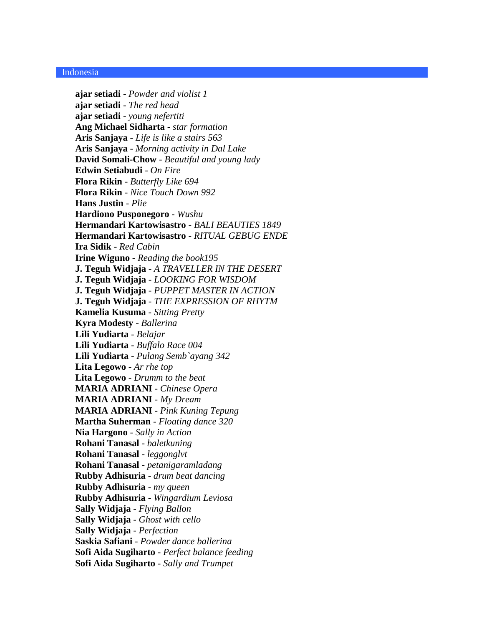### Indonesia

**ajar setiadi** - *Powder and violist 1* **ajar setiadi** - *The red head* **ajar setiadi** - *young nefertiti* **Ang Michael Sidharta** - *star formation* **Aris Sanjaya** - *Life is like a stairs 563* **Aris Sanjaya** - *Morning activity in Dal Lake* **David Somali-Chow** - *Beautiful and young lady* **Edwin Setiabudi** - *On Fire* **Flora Rikin** - *Butterfly Like 694* **Flora Rikin** - *Nice Touch Down 992* **Hans Justin** - *Plie* **Hardiono Pusponegoro** - *Wushu* **Hermandari Kartowisastro** - *BALI BEAUTIES 1849* **Hermandari Kartowisastro** - *RITUAL GEBUG ENDE* **Ira Sidik** - *Red Cabin* **Irine Wiguno** - *Reading the book195* **J. Teguh Widjaja** - *A TRAVELLER IN THE DESERT* **J. Teguh Widjaja** - *LOOKING FOR WISDOM* **J. Teguh Widjaja** - *PUPPET MASTER IN ACTION* **J. Teguh Widjaja** - *THE EXPRESSION OF RHYTM* **Kamelia Kusuma** - *Sitting Pretty* **Kyra Modesty** - *Ballerina* **Lili Yudiarta** - *Belajar* **Lili Yudiarta** - *Buffalo Race 004* **Lili Yudiarta** - *Pulang Semb`ayang 342* **Lita Legowo** - *Ar rhe top* **Lita Legowo** - *Drumm to the beat* **MARIA ADRIANI** - *Chinese Opera* **MARIA ADRIANI** - *My Dream* **MARIA ADRIANI** - *Pink Kuning Tepung* **Martha Suherman** - *Floating dance 320* **Nia Hargono** - *Sally in Action* **Rohani Tanasal** - *baletkuning* **Rohani Tanasal** - *leggonglvt* **Rohani Tanasal** - *petanigaramladang* **Rubby Adhisuria** - *drum beat dancing* **Rubby Adhisuria** - *my queen* **Rubby Adhisuria** - *Wingardium Leviosa* **Sally Widjaja** - *Flying Ballon* **Sally Widjaja** - *Ghost with cello* **Sally Widjaja** - *Perfection* **Saskia Safiani** - *Powder dance ballerina* **Sofi Aida Sugiharto** - *Perfect balance feeding* **Sofi Aida Sugiharto** - *Sally and Trumpet*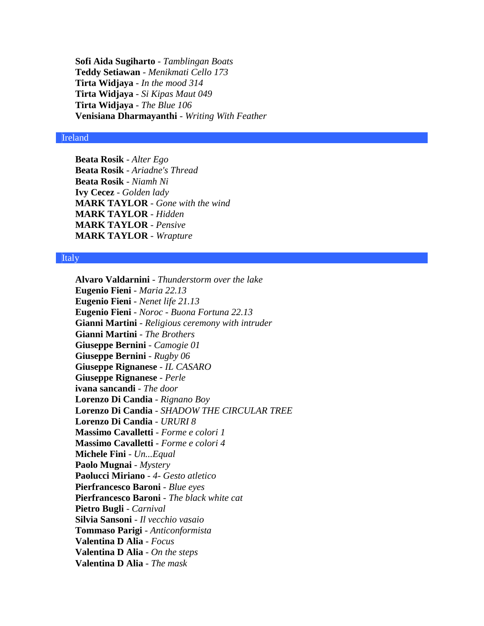**Sofi Aida Sugiharto** - *Tamblingan Boats* **Teddy Setiawan** - *Menikmati Cello 173* **Tirta Widjaya** - *In the mood 314* **Tirta Widjaya** - *Si Kipas Maut 049* **Tirta Widjaya** - *The Blue 106* **Venisiana Dharmayanthi** - *Writing With Feather*

# Ireland

**Beata Rosik** - *Alter Ego* **Beata Rosik** - *Ariadne's Thread* **Beata Rosik** - *Niamh Ni* **Ivy Cecez** - *Golden lady* **MARK TAYLOR** - *Gone with the wind* **MARK TAYLOR** - *Hidden* **MARK TAYLOR** - *Pensive* **MARK TAYLOR** - *Wrapture*

### Italy

**Alvaro Valdarnini** - *Thunderstorm over the lake* **Eugenio Fieni** - *Maria 22.13* **Eugenio Fieni** - *Nenet life 21.13* **Eugenio Fieni** - *Noroc - Buona Fortuna 22.13* **Gianni Martini** - *Religious ceremony with intruder* **Gianni Martini** - *The Brothers* **Giuseppe Bernini** - *Camogie 01* **Giuseppe Bernini** - *Rugby 06* **Giuseppe Rignanese** - *IL CASARO* **Giuseppe Rignanese** - *Perle* **ivana sancandi** - *The door* **Lorenzo Di Candia** - *Rignano Boy* **Lorenzo Di Candia** - *SHADOW THE CIRCULAR TREE* **Lorenzo Di Candia** - *URURI 8* **Massimo Cavalletti** - *Forme e colori 1* **Massimo Cavalletti** - *Forme e colori 4* **Michele Fini** - *Un...Equal* **Paolo Mugnai** - *Mystery* **Paolucci Miriano** - *4- Gesto atletico* **Pierfrancesco Baroni** - *Blue eyes* **Pierfrancesco Baroni** - *The black white cat* **Pietro Bugli** - *Carnival* **Silvia Sansoni** - *Il vecchio vasaio* **Tommaso Parigi** - *Anticonformista* **Valentina D Alia** - *Focus* **Valentina D Alia** - *On the steps* **Valentina D Alia** - *The mask*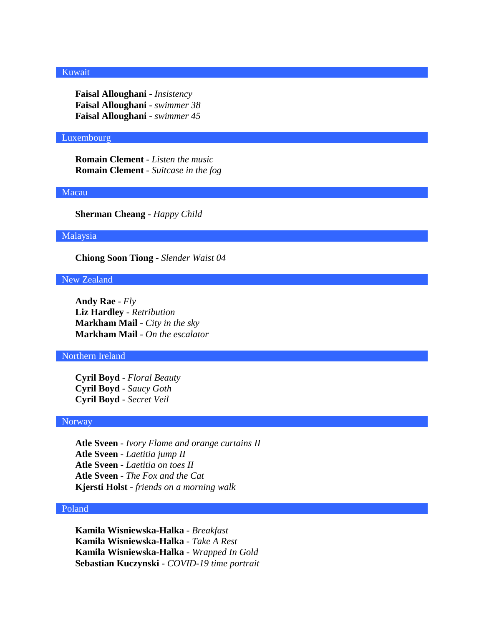#### Kuwait

**Faisal Alloughani** - *Insistency* **Faisal Alloughani** - *swimmer 38* **Faisal Alloughani** - *swimmer 45*

### Luxembourg

**Romain Clement** - *Listen the music* **Romain Clement** - *Suitcase in the fog*

### Macau

**Sherman Cheang** - *Happy Child*

### Malaysia

**Chiong Soon Tiong** - *Slender Waist 04*

# New Zealand

**Andy Rae** - *Fly* **Liz Hardley** - *Retribution* **Markham Mail** - *City in the sky* **Markham Mail** - *On the escalator*

### Northern Ireland

**Cyril Boyd** - *Floral Beauty* **Cyril Boyd** - *Saucy Goth* **Cyril Boyd** - *Secret Veil*

### Norway

**Atle Sveen** - *Ivory Flame and orange curtains II* **Atle Sveen** - *Laetitia jump II* **Atle Sveen** - *Laetitia on toes II* **Atle Sveen** - *The Fox and the Cat* **Kjersti Holst** - *friends on a morning walk*

# Poland

**Kamila Wisniewska-Halka** - *Breakfast* **Kamila Wisniewska-Halka** - *Take A Rest* **Kamila Wisniewska-Halka** - *Wrapped In Gold* **Sebastian Kuczynski** - *COVID-19 time portrait*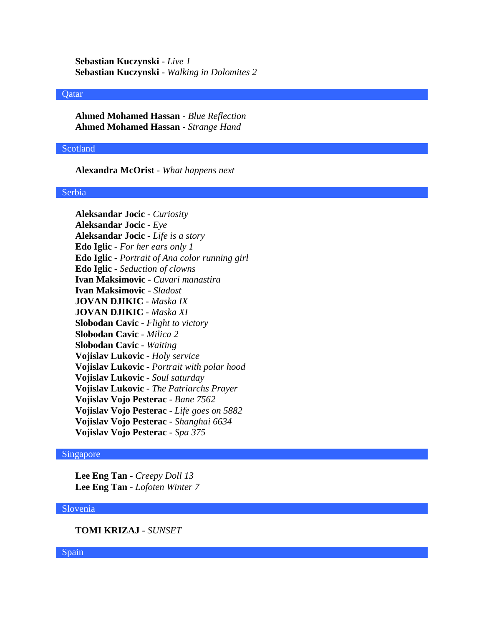**Sebastian Kuczynski** - *Live 1* **Sebastian Kuczynski** - *Walking in Dolomites 2*

#### **Qatar**

**Ahmed Mohamed Hassan** - *Blue Reflection* **Ahmed Mohamed Hassan** - *Strange Hand*

#### Scotland

**Alexandra McOrist** - *What happens next*

### Serbia

**Aleksandar Jocic** - *Curiosity* **Aleksandar Jocic** - *Eye* **Aleksandar Jocic** - *Life is a story* **Edo Iglic** - *For her ears only 1* **Edo Iglic** - *Portrait of Ana color running girl* **Edo Iglic** - *Seduction of clowns* **Ivan Maksimovic** - *Cuvari manastira* **Ivan Maksimovic** - *Sladost* **JOVAN DJIKIC** - *Maska IX* **JOVAN DJIKIC** - *Maska XI* **Slobodan Cavic** - *Flight to victory* **Slobodan Cavic** - *Milica 2* **Slobodan Cavic** - *Waiting* **Vojislav Lukovic** - *Holy service* **Vojislav Lukovic** - *Portrait with polar hood* **Vojislav Lukovic** - *Soul saturday* **Vojislav Lukovic** - *The Patriarchs Prayer* **Vojislav Vojo Pesterac** - *Bane 7562* **Vojislav Vojo Pesterac** - *Life goes on 5882* **Vojislav Vojo Pesterac** - *Shanghai 6634* **Vojislav Vojo Pesterac** - *Spa 375*

#### Singapore

**Lee Eng Tan** - *Creepy Doll 13* **Lee Eng Tan** - *Lofoten Winter 7*

#### Slovenia

**TOMI KRIZAJ** - *SUNSET*

Spain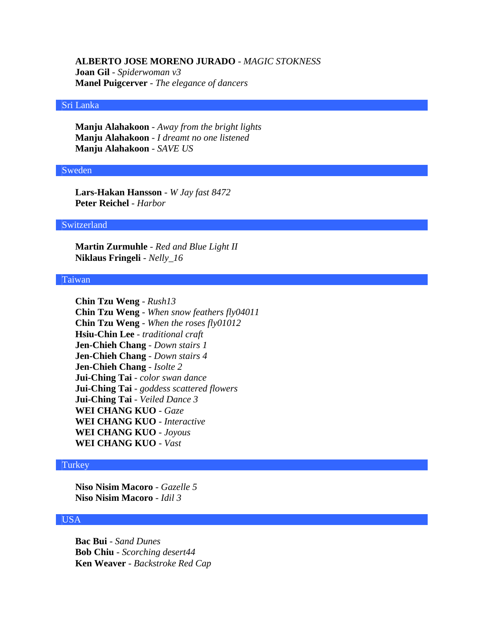# **ALBERTO JOSE MORENO JURADO** - *MAGIC STOKNESS*

**Joan Gil** - *Spiderwoman v3* **Manel Puigcerver** - *The elegance of dancers*

### Sri Lanka

**Manju Alahakoon** - *Away from the bright lights* **Manju Alahakoon** - *I dreamt no one listened* **Manju Alahakoon** - *SAVE US*

# Sweden

**Lars-Hakan Hansson** - *W Jay fast 8472* **Peter Reichel** - *Harbor*

### **Switzerland**

**Martin Zurmuhle** - *Red and Blue Light II* **Niklaus Fringeli** - *Nelly\_16*

### Taiwan

**Chin Tzu Weng** - *Rush13* **Chin Tzu Weng** - *When snow feathers fly04011* **Chin Tzu Weng** - *When the roses fly01012* **Hsiu-Chin Lee** - *traditional craft* **Jen-Chieh Chang** - *Down stairs 1* **Jen-Chieh Chang** - *Down stairs 4* **Jen-Chieh Chang** - *Isolte 2* **Jui-Ching Tai** - *color swan dance* **Jui-Ching Tai** - *goddess scattered flowers* **Jui-Ching Tai** - *Veiled Dance 3* **WEI CHANG KUO** - *Gaze* **WEI CHANG KUO** - *Interactive* **WEI CHANG KUO** - *Joyous* **WEI CHANG KUO** - *Vast*

#### Turkey

**Niso Nisim Macoro** - *Gazelle 5* **Niso Nisim Macoro** - *Idil 3*

#### USA

**Bac Bui** - *Sand Dunes* **Bob Chiu** - *Scorching desert44* **Ken Weaver** - *Backstroke Red Cap*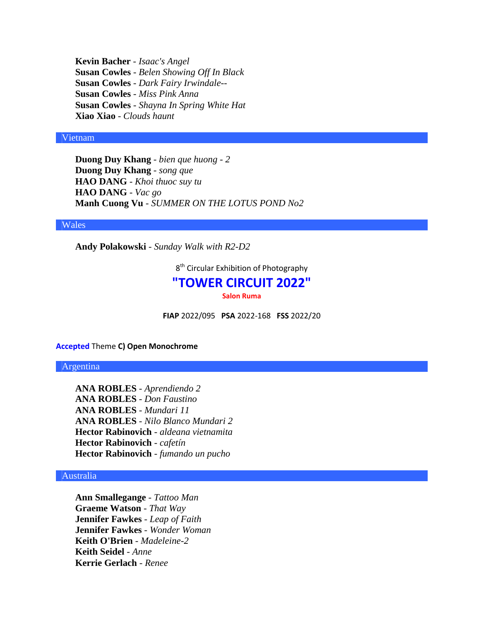**Kevin Bacher** - *Isaac's Angel* **Susan Cowles** - *Belen Showing Off In Black* **Susan Cowles** - *Dark Fairy Irwindale--* **Susan Cowles** - *Miss Pink Anna* **Susan Cowles** - *Shayna In Spring White Hat* **Xiao Xiao** - *Clouds haunt*

# Vietnam

**Duong Duy Khang** - *bien que huong - 2* **Duong Duy Khang** - *song que* **HAO DANG** - *Khoi thuoc suy tu* **HAO DANG** - *Vac go* **Manh Cuong Vu** - *SUMMER ON THE LOTUS POND No2*

# **Wales**

**Andy Polakowski** - *Sunday Walk with R2-D2*

 $8<sup>th</sup>$  Circular Exhibition of Photography

# **"TOWER CIRCUIT 2022"**

**Salon Ruma**

**FIAP** 2022/095 **PSA** 2022-168 **FSS** 2022/20

**Accepted** Theme **C) Open Monochrome**

Argentina

**ANA ROBLES** - *Aprendiendo 2* **ANA ROBLES** - *Don Faustino* **ANA ROBLES** - *Mundari 11* **ANA ROBLES** - *Nilo Blanco Mundari 2* **Hector Rabinovich** - *aldeana vietnamita* **Hector Rabinovich** - *cafetín* **Hector Rabinovich** - *fumando un pucho*

# Australia

**Ann Smallegange** - *Tattoo Man* **Graeme Watson** - *That Way* **Jennifer Fawkes** - *Leap of Faith* **Jennifer Fawkes** - *Wonder Woman* **Keith O'Brien** - *Madeleine-2* **Keith Seidel** - *Anne* **Kerrie Gerlach** - *Renee*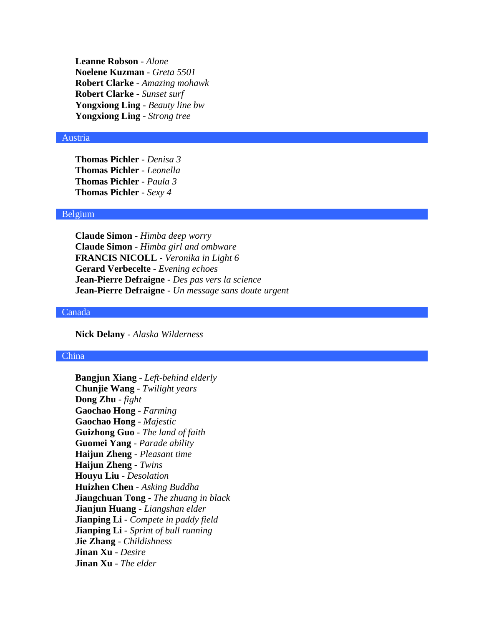**Leanne Robson** - *Alone* **Noelene Kuzman** - *Greta 5501* **Robert Clarke** - *Amazing mohawk* **Robert Clarke** - *Sunset surf* **Yongxiong Ling** - *Beauty line bw* **Yongxiong Ling** - *Strong tree*

# Austria

**Thomas Pichler** - *Denisa 3* **Thomas Pichler** - *Leonella* **Thomas Pichler** - *Paula 3* **Thomas Pichler** - *Sexy 4*

# Belgium

**Claude Simon** - *Himba deep worry* **Claude Simon** - *Himba girl and ombware* **FRANCIS NICOLL** - *Veronika in Light 6* **Gerard Verbecelte** - *Evening echoes* **Jean-Pierre Defraigne** - *Des pas vers la science* **Jean-Pierre Defraigne** - *Un message sans doute urgent*

### Canada

**Nick Delany** - *Alaska Wilderness*

# China

**Bangjun Xiang** - *Left-behind elderly* **Chunjie Wang** - *Twilight years* **Dong Zhu** - *fight* **Gaochao Hong** - *Farming* **Gaochao Hong** - *Majestic* **Guizhong Guo** - *The land of faith* **Guomei Yang** - *Parade ability* **Haijun Zheng** - *Pleasant time* **Haijun Zheng** - *Twins* **Houyu Liu** - *Desolation* **Huizhen Chen** - *Asking Buddha* **Jiangchuan Tong** - *The zhuang in black* **Jianjun Huang** - *Liangshan elder* **Jianping Li** - *Compete in paddy field* **Jianping Li** - *Sprint of bull running* **Jie Zhang** - *Childishness* **Jinan Xu** - *Desire* **Jinan Xu** - *The elder*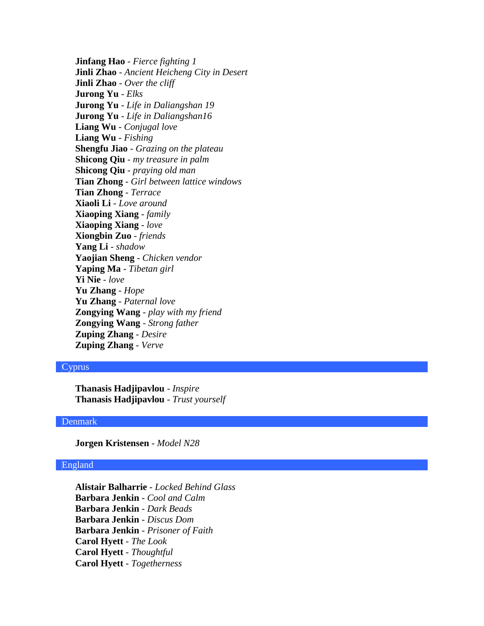**Jinfang Hao** - *Fierce fighting 1* **Jinli Zhao** - *Ancient Heicheng City in Desert* **Jinli Zhao** - *Over the cliff* **Jurong Yu** - *Elks* **Jurong Yu** - *Life in Daliangshan 19* **Jurong Yu** - *Life in Daliangshan16* **Liang Wu** - *Conjugal love* **Liang Wu** - *Fishing* **Shengfu Jiao** - *Grazing on the plateau* **Shicong Qiu** - *my treasure in palm* **Shicong Qiu** - *praying old man* **Tian Zhong** - *Girl between lattice windows* **Tian Zhong** - *Terrace* **Xiaoli Li** - *Love around* **Xiaoping Xiang** - *family* **Xiaoping Xiang** - *love* **Xiongbin Zuo** - *friends* **Yang Li** - *shadow* **Yaojian Sheng** - *Chicken vendor* **Yaping Ma** - *Tibetan girl* **Yi Nie** - *love* **Yu Zhang** - *Hope* **Yu Zhang** - *Paternal love* **Zongying Wang** - *play with my friend* **Zongying Wang** - *Strong father* **Zuping Zhang** - *Desire* **Zuping Zhang** - *Verve*

#### Cyprus

**Thanasis Hadjipavlou** - *Inspire* **Thanasis Hadjipavlou** - *Trust yourself*

# Denmark

**Jorgen Kristensen** - *Model N28*

# England

**Alistair Balharrie** - *Locked Behind Glass* **Barbara Jenkin** - *Cool and Calm* **Barbara Jenkin** - *Dark Beads* **Barbara Jenkin** - *Discus Dom* **Barbara Jenkin** - *Prisoner of Faith* **Carol Hyett** - *The Look* **Carol Hyett** - *Thoughtful* **Carol Hyett** - *Togetherness*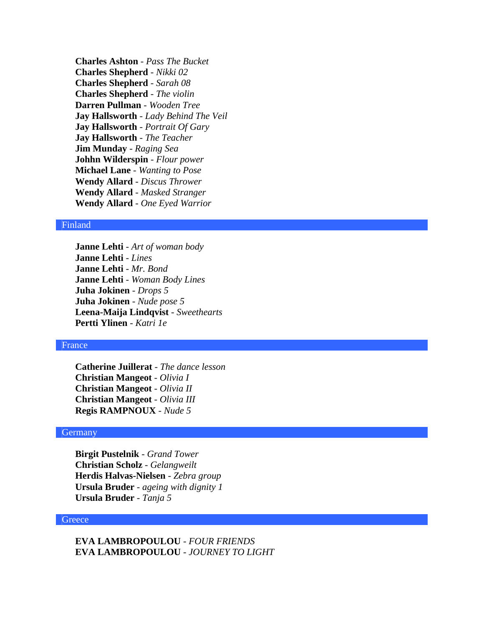**Charles Ashton** - *Pass The Bucket* **Charles Shepherd** - *Nikki 02* **Charles Shepherd** - *Sarah 08* **Charles Shepherd** - *The violin* **Darren Pullman** - *Wooden Tree* **Jay Hallsworth** - *Lady Behind The Veil* **Jay Hallsworth** - *Portrait Of Gary* **Jay Hallsworth** - *The Teacher* **Jim Munday** - *Raging Sea* **Johhn Wilderspin** - *Flour power* **Michael Lane** - *Wanting to Pose* **Wendy Allard** - *Discus Thrower* **Wendy Allard** - *Masked Stranger* **Wendy Allard** - *One Eyed Warrior*

# Finland

**Janne Lehti** - *Art of woman body* **Janne Lehti** - *Lines* **Janne Lehti** - *Mr. Bond* **Janne Lehti** - *Woman Body Lines* **Juha Jokinen** - *Drops 5* **Juha Jokinen** - *Nude pose 5* **Leena-Maija Lindqvist** - *Sweethearts* **Pertti Ylinen** - *Katri 1e*

# France

**Catherine Juillerat** - *The dance lesson* **Christian Mangeot** - *Olivia I* **Christian Mangeot** - *Olivia II* **Christian Mangeot** - *Olivia III* **Regis RAMPNOUX** - *Nude 5*

#### **Germany**

**Birgit Pustelnik** - *Grand Tower* **Christian Scholz** - *Gelangweilt* **Herdis Halvas-Nielsen** - *Zebra group* **Ursula Bruder** - *ageing with dignity 1* **Ursula Bruder** - *Tanja 5*

### **Greece**

**EVA LAMBROPOULOU** - *FOUR FRIENDS* **EVA LAMBROPOULOU** - *JOURNEY TO LIGHT*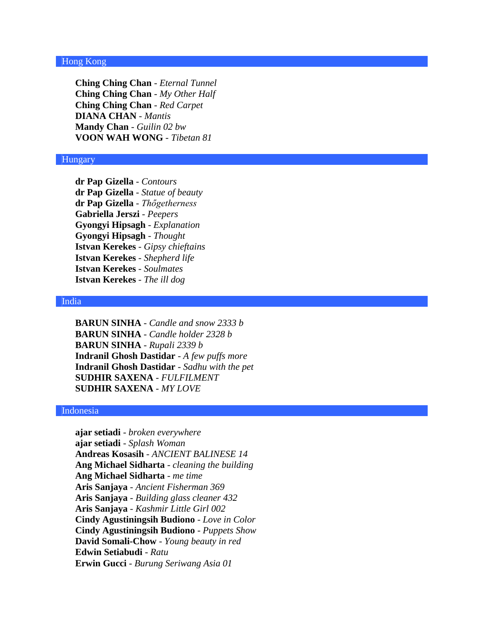# Hong Kong

**Ching Ching Chan** - *Eternal Tunnel* **Ching Ching Chan** - *My Other Half* **Ching Ching Chan** - *Red Carpet* **DIANA CHAN** - *Mantis* **Mandy Chan** - *Guilin 02 bw* **VOON WAH WONG** - *Tibetan 81*

#### **Hungary**

**dr Pap Gizella** - *Contours* **dr Pap Gizella** - *Statue of beauty* **dr Pap Gizella** - *Thőgetherness* **Gabriella Jerszi** - *Peepers* **Gyongyi Hipsagh** - *Explanation* **Gyongyi Hipsagh** - *Thought* **Istvan Kerekes** - *Gipsy chieftains* **Istvan Kerekes** - *Shepherd life* **Istvan Kerekes** - *Soulmates* **Istvan Kerekes** - *The ill dog*

# India

**BARUN SINHA** - *Candle and snow 2333 b* **BARUN SINHA** - *Candle holder 2328 b* **BARUN SINHA** - *Rupali 2339 b* **Indranil Ghosh Dastidar** - *A few puffs more* **Indranil Ghosh Dastidar** - *Sadhu with the pet* **SUDHIR SAXENA** - *FULFILMENT* **SUDHIR SAXENA** - *MY LOVE*

### Indonesia

**ajar setiadi** - *broken everywhere* **ajar setiadi** - *Splash Woman* **Andreas Kosasih** - *ANCIENT BALINESE 14* **Ang Michael Sidharta** - *cleaning the building* **Ang Michael Sidharta** - *me time* **Aris Sanjaya** - *Ancient Fisherman 369* **Aris Sanjaya** - *Building glass cleaner 432* **Aris Sanjaya** - *Kashmir Little Girl 002* **Cindy Agustiningsih Budiono** - *Love in Color* **Cindy Agustiningsih Budiono** - *Puppets Show* **David Somali-Chow** - *Young beauty in red* **Edwin Setiabudi** - *Ratu* **Erwin Gucci** - *Burung Seriwang Asia 01*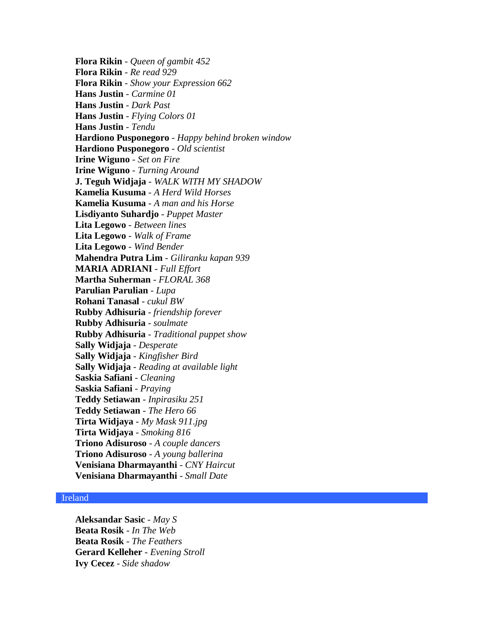**Flora Rikin** - *Queen of gambit 452* **Flora Rikin** - *Re read 929* **Flora Rikin** - *Show your Expression 662* **Hans Justin** - *Carmine 01* **Hans Justin** - *Dark Past* **Hans Justin** - *Flying Colors 01* **Hans Justin** - *Tendu* **Hardiono Pusponegoro** - *Happy behind broken window* **Hardiono Pusponegoro** - *Old scientist* **Irine Wiguno** - *Set on Fire* **Irine Wiguno** - *Turning Around* **J. Teguh Widjaja** - *WALK WITH MY SHADOW* **Kamelia Kusuma** - *A Herd Wild Horses* **Kamelia Kusuma** - *A man and his Horse* **Lisdiyanto Suhardjo** - *Puppet Master* **Lita Legowo** - *Between lines* **Lita Legowo** - *Walk of Frame* **Lita Legowo** - *Wind Bender* **Mahendra Putra Lim** - *Giliranku kapan 939* **MARIA ADRIANI** - *Full Effort* **Martha Suherman** - *FLORAL 368* **Parulian Parulian** - *Lupa* **Rohani Tanasal** - *cukul BW* **Rubby Adhisuria** - *friendship forever* **Rubby Adhisuria** - *soulmate* **Rubby Adhisuria** - *Traditional puppet show* **Sally Widjaja** - *Desperate* **Sally Widjaja** - *Kingfisher Bird* **Sally Widjaja** - *Reading at available light* **Saskia Safiani** - *Cleaning* **Saskia Safiani** - *Praying* **Teddy Setiawan** - *Inpirasiku 251* **Teddy Setiawan** - *The Hero 66* **Tirta Widjaya** - *My Mask 911.jpg* **Tirta Widjaya** - *Smoking 816* **Triono Adisuroso** - *A couple dancers* **Triono Adisuroso** - *A young ballerina* **Venisiana Dharmayanthi** - *CNY Haircut* **Venisiana Dharmayanthi** - *Small Date*

### Ireland

**Aleksandar Sasic** - *May S* **Beata Rosik** - *In The Web* **Beata Rosik** - *The Feathers* **Gerard Kelleher** - *Evening Stroll* **Ivy Cecez** - *Side shadow*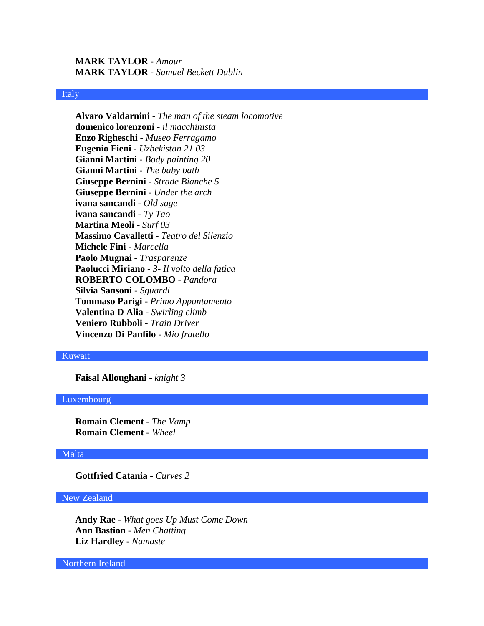**MARK TAYLOR** - *Amour* **MARK TAYLOR** - *Samuel Beckett Dublin*

#### Italy

**Alvaro Valdarnini** - *The man of the steam locomotive* **domenico lorenzoni** - *il macchinista* **Enzo Righeschi** - *Museo Ferragamo* **Eugenio Fieni** - *Uzbekistan 21.03* **Gianni Martini** - *Body painting 20* **Gianni Martini** - *The baby bath* **Giuseppe Bernini** - *Strade Bianche 5* **Giuseppe Bernini** - *Under the arch* **ivana sancandi** - *Old sage* **ivana sancandi** - *Ty Tao* **Martina Meoli** - *Surf 03* **Massimo Cavalletti** - *Teatro del Silenzio* **Michele Fini** - *Marcella* **Paolo Mugnai** - *Trasparenze* **Paolucci Miriano** - *3- Il volto della fatica* **ROBERTO COLOMBO** - *Pandora* **Silvia Sansoni** - *Sguardi* **Tommaso Parigi** - *Primo Appuntamento* **Valentina D Alia** - *Swirling climb* **Veniero Rubboli** - *Train Driver* **Vincenzo Di Panfilo** - *Mio fratello*

#### Kuwait

**Faisal Alloughani** - *knight 3*

# Luxembourg

**Romain Clement** - *The Vamp* **Romain Clement** - *Wheel*

### Malta

**Gottfried Catania** - *Curves 2*

# New Zealand

**Andy Rae** - *What goes Up Must Come Down* **Ann Bastion** - *Men Chatting* **Liz Hardley** - *Namaste*

Northern Ireland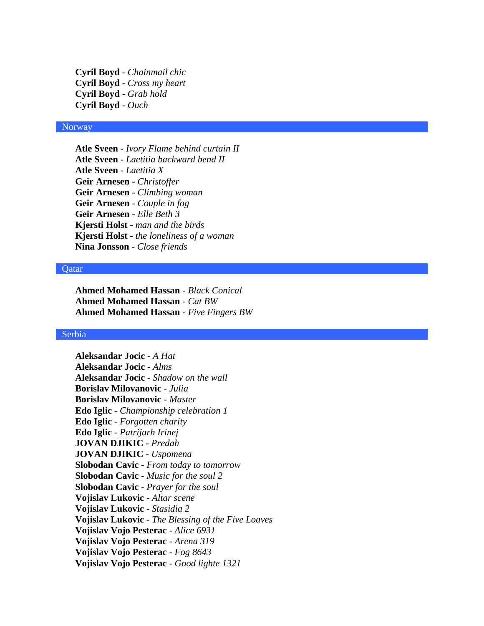**Cyril Boyd** - *Chainmail chic* **Cyril Boyd** - *Cross my heart* **Cyril Boyd** - *Grab hold* **Cyril Boyd** - *Ouch*

### **Norway**

**Atle Sveen** - *Ivory Flame behind curtain II* **Atle Sveen** - *Laetitia backward bend II* **Atle Sveen** - *Laetitia X* **Geir Arnesen** - *Christoffer* **Geir Arnesen** - *Climbing woman* **Geir Arnesen** - *Couple in fog* **Geir Arnesen** - *Elle Beth 3* **Kjersti Holst** - *man and the birds* **Kjersti Holst** - *the loneliness of a woman* **Nina Jonsson** - *Close friends*

#### **O**atar

**Ahmed Mohamed Hassan** - *Black Conical* **Ahmed Mohamed Hassan** - *Cat BW* **Ahmed Mohamed Hassan** - *Five Fingers BW*

# Serbia

**Aleksandar Jocic** - *A Hat* **Aleksandar Jocic** - *Alms* **Aleksandar Jocic** - *Shadow on the wall* **Borislav Milovanovic** - *Julia* **Borislav Milovanovic** - *Master* **Edo Iglic** - *Championship celebration 1* **Edo Iglic** - *Forgotten charity* **Edo Iglic** - *Patrijarh Irinej* **JOVAN DJIKIC** - *Predah* **JOVAN DJIKIC** - *Uspomena* **Slobodan Cavic** - *From today to tomorrow* **Slobodan Cavic** - *Music for the soul 2* **Slobodan Cavic** - *Prayer for the soul* **Vojislav Lukovic** - *Altar scene* **Vojislav Lukovic** - *Stasidia 2* **Vojislav Lukovic** - *The Blessing of the Five Loaves* **Vojislav Vojo Pesterac** - *Alice 6931* **Vojislav Vojo Pesterac** - *Arena 319* **Vojislav Vojo Pesterac** - *Fog 8643* **Vojislav Vojo Pesterac** - *Good lighte 1321*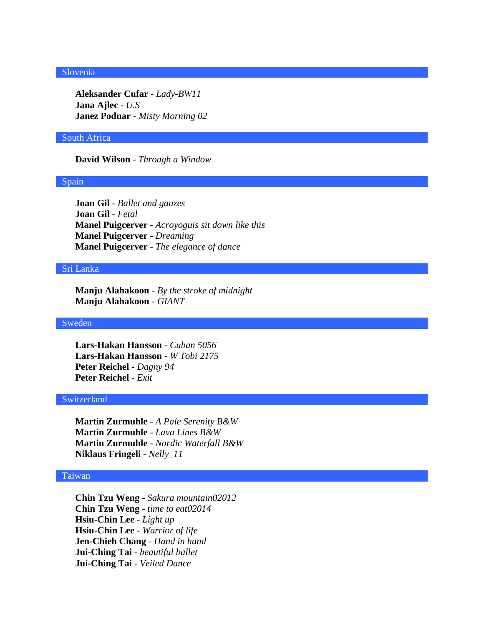### Slovenia

**Aleksander Cufar** - *Lady-BW11* **Jana Ajlec** - *U.S* **Janez Podnar** - *Misty Morning 02*

## South Africa

### **David Wilson** - *Through a Window*

#### Spain

**Joan Gil** - *Ballet and gauzes* **Joan Gil** - *Fetal* **Manel Puigcerver** - *Acroyoguis sit down like this* **Manel Puigcerver** - *Dreaming* **Manel Puigcerver** - *The elegance of dance*

#### Sri Lanka

**Manju Alahakoon** - *By the stroke of midnight* **Manju Alahakoon** - *GIANT*

#### Sweden

**Lars-Hakan Hansson** - *Cuban 5056* **Lars-Hakan Hansson** - *W Tobi 2175* **Peter Reichel** - *Dagny 94* **Peter Reichel** - *Exit*

# Switzerland

**Martin Zurmuhle** - *A Pale Serenity B&W* **Martin Zurmuhle** - *Lava Lines B&W* **Martin Zurmuhle** - *Nordic Waterfall B&W* **Niklaus Fringeli** - *Nelly\_11*

### Taiwan

**Chin Tzu Weng** - *Sakura mountain02012* **Chin Tzu Weng** - *time to eat02014* **Hsiu-Chin Lee** - *Light up* **Hsiu-Chin Lee** - *Warrior of life* **Jen-Chieh Chang** - *Hand in hand* **Jui-Ching Tai** - *beautiful ballet* **Jui-Ching Tai** - *Veiled Dance*